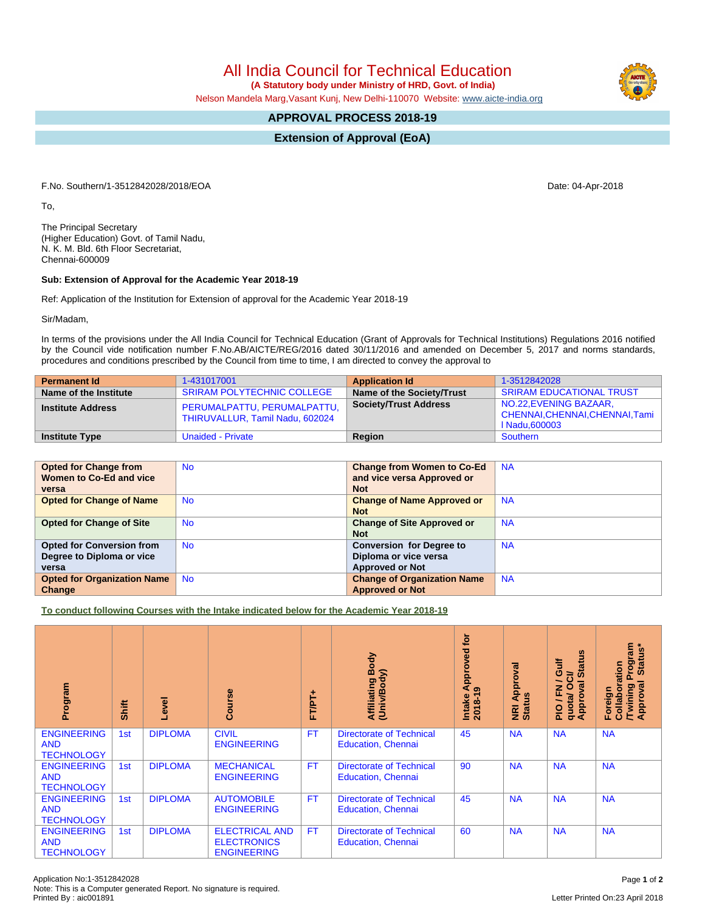All India Council for Technical Education  **(A Statutory body under Ministry of HRD, Govt. of India)**

Nelson Mandela Marg,Vasant Kunj, New Delhi-110070 Website: [www.aicte-india.org](http://www.aicte-india.org)

## **APPROVAL PROCESS 2018-19**

**Extension of Approval (EoA)**

F.No. Southern/1-3512842028/2018/EOA Date: 04-Apr-2018

To,

The Principal Secretary (Higher Education) Govt. of Tamil Nadu, N. K. M. Bld. 6th Floor Secretariat, Chennai-600009

## **Sub: Extension of Approval for the Academic Year 2018-19**

Ref: Application of the Institution for Extension of approval for the Academic Year 2018-19

Sir/Madam,

In terms of the provisions under the All India Council for Technical Education (Grant of Approvals for Technical Institutions) Regulations 2016 notified by the Council vide notification number F.No.AB/AICTE/REG/2016 dated 30/11/2016 and amended on December 5, 2017 and norms standards, procedures and conditions prescribed by the Council from time to time, I am directed to convey the approval to

| <b>Permanent Id</b>      | 1-431017001                                                    | <b>Application Id</b>        | 1-3512842028                                                               |
|--------------------------|----------------------------------------------------------------|------------------------------|----------------------------------------------------------------------------|
| Name of the Institute    | <b>SRIRAM POLYTECHNIC COLLEGE</b>                              | Name of the Society/Trust    | <b>SRIRAM EDUCATIONAL TRUST</b>                                            |
| <b>Institute Address</b> | PERUMALPATTU, PERUMALPATTU,<br>THIRUVALLUR, Tamil Nadu, 602024 | <b>Society/Trust Address</b> | NO.22, EVENING BAZAAR,<br>CHENNAI, CHENNAI, CHENNAI, Tami<br>I Nadu.600003 |
| <b>Institute Type</b>    | Unaided - Private                                              | Region                       | Southern                                                                   |

| <b>Opted for Change from</b>       | <b>No</b> | <b>Change from Women to Co-Ed</b>  | <b>NA</b> |
|------------------------------------|-----------|------------------------------------|-----------|
| Women to Co-Ed and vice            |           | and vice versa Approved or         |           |
| versa                              |           | <b>Not</b>                         |           |
| <b>Opted for Change of Name</b>    | <b>No</b> | <b>Change of Name Approved or</b>  | <b>NA</b> |
|                                    |           | <b>Not</b>                         |           |
| <b>Opted for Change of Site</b>    | <b>No</b> | <b>Change of Site Approved or</b>  | <b>NA</b> |
|                                    |           | <b>Not</b>                         |           |
| <b>Opted for Conversion from</b>   | No.       | <b>Conversion for Degree to</b>    | <b>NA</b> |
| Degree to Diploma or vice          |           | Diploma or vice versa              |           |
| versa                              |           | <b>Approved or Not</b>             |           |
| <b>Opted for Organization Name</b> | <b>No</b> | <b>Change of Organization Name</b> | <b>NA</b> |
| Change                             |           | <b>Approved or Not</b>             |           |

**To conduct following Courses with the Intake indicated below for the Academic Year 2018-19**

| Program                                               | Shift | level          | Course                                                            | FT/PT+    | Affiliating Body<br>(Univ/Body)                              | ίō<br>Approved<br>19<br>Intake<br>2018-19 | Approval<br><b>NRI Ap<br/>Status</b> | <b>Status</b><br><b>Gulf</b><br>≃<br>∽<br>g<br>O<br>준<br>Approv<br>quota/<br>◥<br>$\frac{1}{2}$ | Program<br>Status*<br>Collaboration<br>Approval<br>Twining<br>Foreign |
|-------------------------------------------------------|-------|----------------|-------------------------------------------------------------------|-----------|--------------------------------------------------------------|-------------------------------------------|--------------------------------------|-------------------------------------------------------------------------------------------------|-----------------------------------------------------------------------|
| <b>ENGINEERING</b><br><b>AND</b><br><b>TECHNOLOGY</b> | 1st   | <b>DIPLOMA</b> | <b>CIVIL</b><br><b>ENGINEERING</b>                                | <b>FT</b> | <b>Directorate of Technical</b><br><b>Education, Chennai</b> | 45                                        | <b>NA</b>                            | <b>NA</b>                                                                                       | <b>NA</b>                                                             |
| <b>ENGINEERING</b><br><b>AND</b><br><b>TECHNOLOGY</b> | 1st   | <b>DIPLOMA</b> | <b>MECHANICAL</b><br><b>ENGINEERING</b>                           | <b>FT</b> | <b>Directorate of Technical</b><br><b>Education, Chennai</b> | 90                                        | <b>NA</b>                            | <b>NA</b>                                                                                       | <b>NA</b>                                                             |
| <b>ENGINEERING</b><br><b>AND</b><br><b>TECHNOLOGY</b> | 1st   | <b>DIPLOMA</b> | <b>AUTOMOBILE</b><br><b>ENGINEERING</b>                           | <b>FT</b> | <b>Directorate of Technical</b><br><b>Education, Chennai</b> | 45                                        | <b>NA</b>                            | <b>NA</b>                                                                                       | <b>NA</b>                                                             |
| <b>ENGINEERING</b><br><b>AND</b><br><b>TECHNOLOGY</b> | 1st   | <b>DIPLOMA</b> | <b>ELECTRICAL AND</b><br><b>ELECTRONICS</b><br><b>ENGINEERING</b> | FT.       | <b>Directorate of Technical</b><br><b>Education, Chennai</b> | 60                                        | <b>NA</b>                            | <b>NA</b>                                                                                       | <b>NA</b>                                                             |